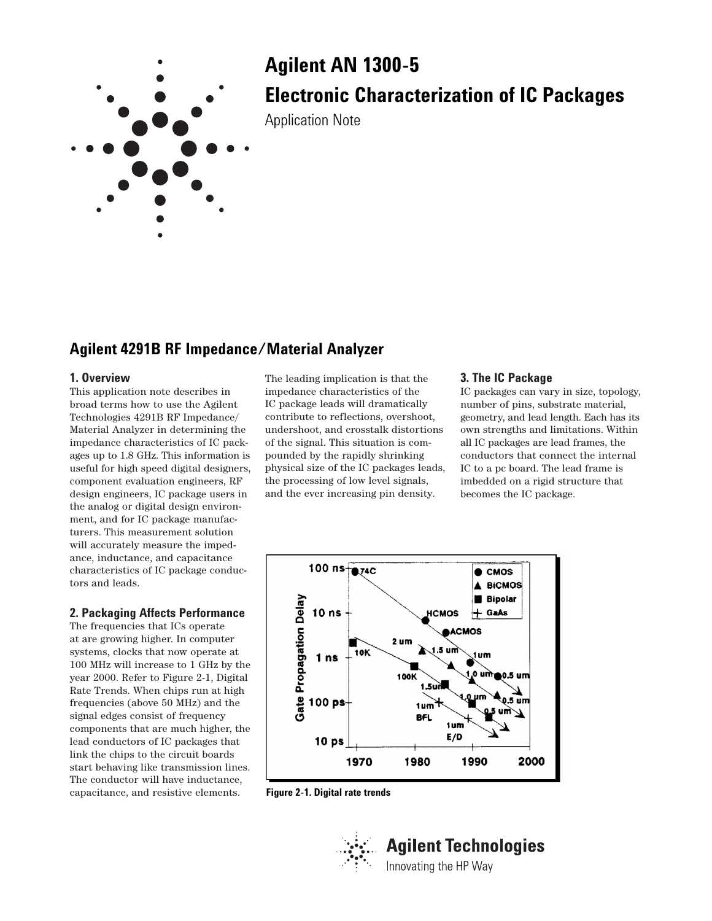

# **Agilent AN 1300-5 Electronic Characterization of IC Packages**

Application Note

# **Agilent 4291B RF Impedance/Material Analyzer**

#### **1. Overview**

This application note describes in broad terms how to use the Agilent Technologies 4291B RF Impedance/ Material Analyzer in determining the impedance characteristics of IC packages up to 1.8 GHz. This information is useful for high speed digital designers, component evaluation engineers, RF design engineers, IC package users in the analog or digital design environment, and for IC package manufacturers. This measurement solution will accurately measure the impedance, inductance, and capacitance characteristics of IC package conductors and leads.

### **2. Packaging Affects Performance**

The frequencies that ICs operate at are growing higher. In computer systems, clocks that now operate at 100 MHz will increase to 1 GHz by the year 2000. Refer to Figure 2-1, Digital Rate Trends. When chips run at high frequencies (above 50 MHz) and the signal edges consist of frequency components that are much higher, the lead conductors of IC packages that link the chips to the circuit boards start behaving like transmission lines. The conductor will have inductance, capacitance, and resistive elements.

The leading implication is that the impedance characteristics of the IC package leads will dramatically contribute to reflections, overshoot, undershoot, and crosstalk distortions of the signal. This situation is compounded by the rapidly shrinking physical size of the IC packages leads, the processing of low level signals, and the ever increasing pin density.

## **3. The IC Package**

IC packages can vary in size, topology, number of pins, substrate material, geometry, and lead length. Each has its own strengths and limitations. Within all IC packages are lead frames, the conductors that connect the internal IC to a pc board. The lead frame is imbedded on a rigid structure that becomes the IC package.



**Figure 2-1. Digital rate trends**

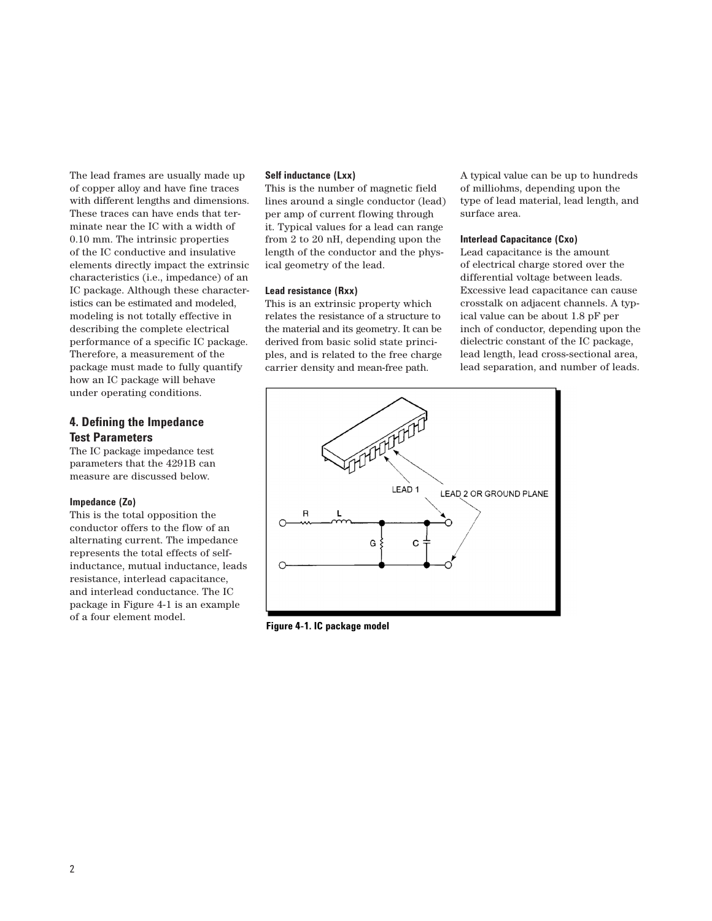The lead frames are usually made up of copper alloy and have fine traces with different lengths and dimensions. These traces can have ends that terminate near the IC with a width of 0.10 mm. The intrinsic properties of the IC conductive and insulative elements directly impact the extrinsic characteristics (i.e., impedance) of an IC package. Although these characteristics can be estimated and modeled, modeling is not totally effective in describing the complete electrical performance of a specific IC package. Therefore, a measurement of the package must made to fully quantify how an IC package will behave under operating conditions.

### **4. Defining the Impedance Test Parameters**

The IC package impedance test parameters that the 4291B can measure are discussed below.

#### **Impedance (Zo)**

This is the total opposition the conductor offers to the flow of an alternating current. The impedance represents the total effects of selfinductance, mutual inductance, leads resistance, interlead capacitance, and interlead conductance. The IC package in Figure 4-1 is an example of a four element model.

#### **Self inductance (Lxx)**

This is the number of magnetic field lines around a single conductor (lead) per amp of current flowing through it. Typical values for a lead can range from 2 to 20 nH, depending upon the length of the conductor and the physical geometry of the lead.

#### **Lead resistance (Rxx)**

This is an extrinsic property which relates the resistance of a structure to the material and its geometry. It can be derived from basic solid state principles, and is related to the free charge carrier density and mean-free path.

A typical value can be up to hundreds of milliohms, depending upon the type of lead material, lead length, and surface area.

#### **Interlead Capacitance (Cxo)**

Lead capacitance is the amount of electrical charge stored over the differential voltage between leads. Excessive lead capacitance can cause crosstalk on adjacent channels. A typical value can be about 1.8 pF per inch of conductor, depending upon the dielectric constant of the IC package, lead length, lead cross-sectional area, lead separation, and number of leads.



**Figure 4-1. IC package model**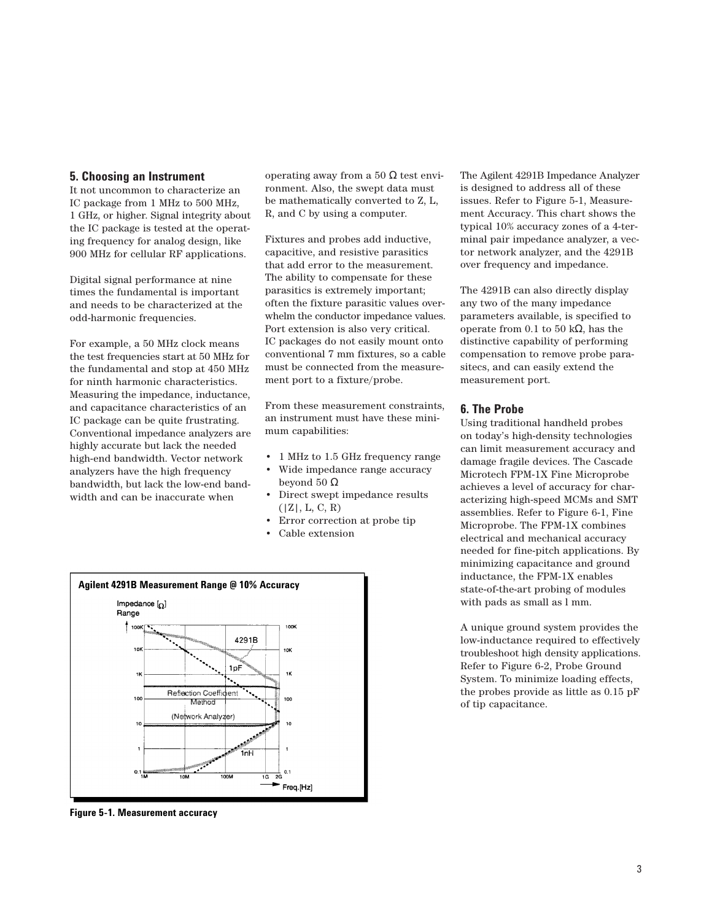#### **5. Choosing an Instrument**

It not uncommon to characterize an IC package from 1 MHz to 500 MHz, 1 GHz, or higher. Signal integrity about the IC package is tested at the operating frequency for analog design, like 900 MHz for cellular RF applications.

Digital signal performance at nine times the fundamental is important and needs to be characterized at the odd-harmonic frequencies.

For example, a 50 MHz clock means the test frequencies start at 50 MHz for the fundamental and stop at 450 MHz for ninth harmonic characteristics. Measuring the impedance, inductance, and capacitance characteristics of an IC package can be quite frustrating. Conventional impedance analyzers are highly accurate but lack the needed high-end bandwidth. Vector network analyzers have the high frequency bandwidth, but lack the low-end bandwidth and can be inaccurate when

operating away from a 50 Ω test environment. Also, the swept data must be mathematically converted to Z, L, R, and C by using a computer.

Fixtures and probes add inductive, capacitive, and resistive parasitics that add error to the measurement. The ability to compensate for these parasitics is extremely important; often the fixture parasitic values overwhelm the conductor impedance values. Port extension is also very critical. IC packages do not easily mount onto conventional 7 mm fixtures, so a cable must be connected from the measurement port to a fixture/probe.

From these measurement constraints, an instrument must have these minimum capabilities:

- 1 MHz to 1.5 GHz frequency range
- Wide impedance range accuracy beyond 50  $Ω$
- Direct swept impedance results  $(|Z|, L, C, R)$
- Error correction at probe tip
- Cable extension



**Figure 5-1. Measurement accuracy**

The Agilent 4291B Impedance Analyzer is designed to address all of these issues. Refer to Figure 5-1, Measurement Accuracy. This chart shows the typical 10% accuracy zones of a 4-terminal pair impedance analyzer, a vector network analyzer, and the 4291B over frequency and impedance.

The 4291B can also directly display any two of the many impedance parameters available, is specified to operate from 0.1 to 50 kΩ, has the distinctive capability of performing compensation to remove probe parasitecs, and can easily extend the measurement port.

#### **6. The Probe**

Using traditional handheld probes on today's high-density technologies can limit measurement accuracy and damage fragile devices. The Cascade Microtech FPM-1X Fine Microprobe achieves a level of accuracy for characterizing high-speed MCMs and SMT assemblies. Refer to Figure 6-1, Fine Microprobe. The FPM-1X combines electrical and mechanical accuracy needed for fine-pitch applications. By minimizing capacitance and ground inductance, the FPM-1X enables state-of-the-art probing of modules with pads as small as l mm.

A unique ground system provides the low-inductance required to effectively troubleshoot high density applications. Refer to Figure 6-2, Probe Ground System. To minimize loading effects, the probes provide as little as 0.15 pF of tip capacitance.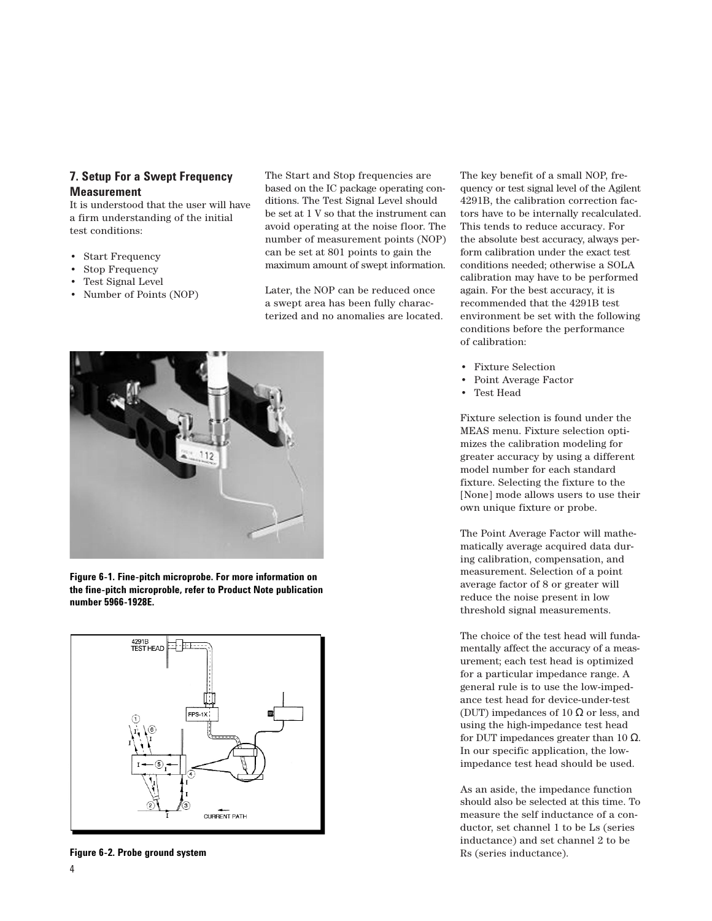# **7. Setup For a Swept Frequency Measurement**

It is understood that the user will have a firm understanding of the initial test conditions:

- Start Frequency
- Stop Frequency
- Test Signal Level
- Number of Points (NOP)

The Start and Stop frequencies are based on the IC package operating conditions. The Test Signal Level should be set at 1 V so that the instrument can avoid operating at the noise floor. The number of measurement points (NOP) can be set at 801 points to gain the maximum amount of swept information.

Later, the NOP can be reduced once a swept area has been fully characterized and no anomalies are located.



**Figure 6-1. Fine-pitch microprobe. For more information on the fine-pitch microproble, refer to Product Note publication number 5966-1928E.**



**Figure 6-2. Probe ground system**

4

The key benefit of a small NOP, frequency or test signal level of the Agilent 4291B, the calibration correction factors have to be internally recalculated. This tends to reduce accuracy. For the absolute best accuracy, always perform calibration under the exact test conditions needed; otherwise a SOLA calibration may have to be performed again. For the best accuracy, it is recommended that the 4291B test environment be set with the following conditions before the performance of calibration:

- Fixture Selection
- Point Average Factor
- Test Head

Fixture selection is found under the MEAS menu. Fixture selection optimizes the calibration modeling for greater accuracy by using a different model number for each standard fixture. Selecting the fixture to the [None] mode allows users to use their own unique fixture or probe.

The Point Average Factor will mathematically average acquired data during calibration, compensation, and measurement. Selection of a point average factor of 8 or greater will reduce the noise present in low threshold signal measurements.

The choice of the test head will fundamentally affect the accuracy of a measurement; each test head is optimized for a particular impedance range. A general rule is to use the low-impedance test head for device-under-test (DUT) impedances of 10  $\Omega$  or less, and using the high-impedance test head for DUT impedances greater than 10 Ω. In our specific application, the lowimpedance test head should be used.

As an aside, the impedance function should also be selected at this time. To measure the self inductance of a conductor, set channel 1 to be Ls (series inductance) and set channel 2 to be Rs (series inductance).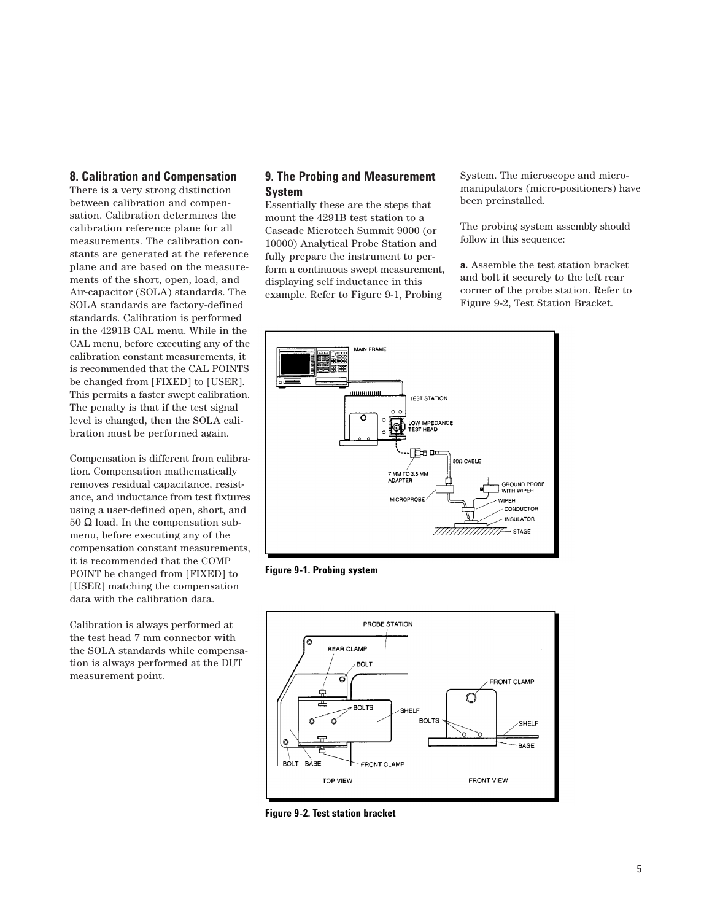#### **8. Calibration and Compensation**

There is a very strong distinction between calibration and compensation. Calibration determines the calibration reference plane for all measurements. The calibration constants are generated at the reference plane and are based on the measurements of the short, open, load, and Air-capacitor (SOLA) standards. The SOLA standards are factory-defined standards. Calibration is performed in the 4291B CAL menu. While in the CAL menu, before executing any of the calibration constant measurements, it is recommended that the CAL POINTS be changed from [FIXED] to [USER]. This permits a faster swept calibration. The penalty is that if the test signal level is changed, then the SOLA calibration must be performed again.

Compensation is different from calibration. Compensation mathematically removes residual capacitance, resistance, and inductance from test fixtures using a user-defined open, short, and 50 Ω load. In the compensation submenu, before executing any of the compensation constant measurements, it is recommended that the COMP POINT be changed from [FIXED] to [USER] matching the compensation data with the calibration data.

Calibration is always performed at the test head 7 mm connector with the SOLA standards while compensation is always performed at the DUT measurement point.

# **9. The Probing and Measurement System**

Essentially these are the steps that mount the 4291B test station to a Cascade Microtech Summit 9000 (or 10000) Analytical Probe Station and fully prepare the instrument to perform a continuous swept measurement, displaying self inductance in this example. Refer to Figure 9-1, Probing

System. The microscope and micromanipulators (micro-positioners) have been preinstalled.

The probing system assembly should follow in this sequence:

**a.** Assemble the test station bracket and bolt it securely to the left rear corner of the probe station. Refer to Figure 9-2, Test Station Bracket.







**Figure 9-2. Test station bracket**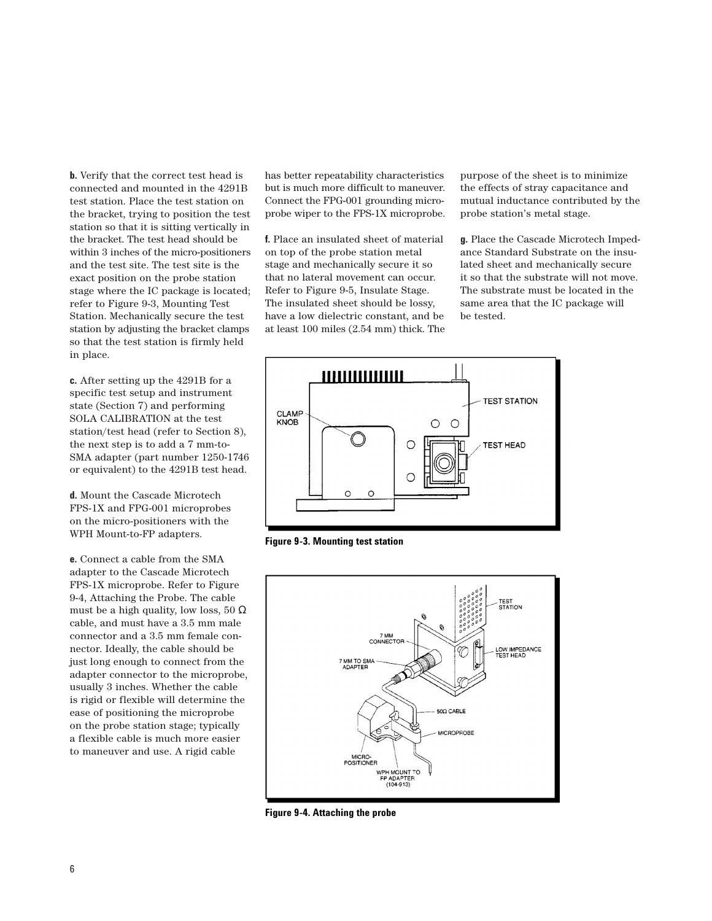**b.** Verify that the correct test head is connected and mounted in the 4291B test station. Place the test station on the bracket, trying to position the test station so that it is sitting vertically in the bracket. The test head should be within 3 inches of the micro-positioners and the test site. The test site is the exact position on the probe station stage where the IC package is located; refer to Figure 9-3, Mounting Test Station. Mechanically secure the test station by adjusting the bracket clamps so that the test station is firmly held in place.

**c.** After setting up the 4291B for a specific test setup and instrument state (Section 7) and performing SOLA CALIBRATION at the test station/test head (refer to Section 8), the next step is to add a 7 mm-to-SMA adapter (part number 1250-1746 or equivalent) to the 4291B test head.

**d.** Mount the Cascade Microtech FPS-1X and FPG-001 microprobes on the micro-positioners with the WPH Mount-to-FP adapters.

**e.** Connect a cable from the SMA adapter to the Cascade Microtech FPS-1X microprobe. Refer to Figure 9-4, Attaching the Probe. The cable must be a high quality, low loss, 50  $\Omega$ cable, and must have a 3.5 mm male connector and a 3.5 mm female connector. Ideally, the cable should be just long enough to connect from the adapter connector to the microprobe, usually 3 inches. Whether the cable is rigid or flexible will determine the ease of positioning the microprobe on the probe station stage; typically a flexible cable is much more easier to maneuver and use. A rigid cable

has better repeatability characteristics but is much more difficult to maneuver. Connect the FPG-001 grounding microprobe wiper to the FPS-1X microprobe.

**f.** Place an insulated sheet of material on top of the probe station metal stage and mechanically secure it so that no lateral movement can occur. Refer to Figure 9-5, Insulate Stage. The insulated sheet should be lossy, have a low dielectric constant, and be at least 100 miles (2.54 mm) thick. The

purpose of the sheet is to minimize the effects of stray capacitance and mutual inductance contributed by the probe station's metal stage.

**g.** Place the Cascade Microtech Impedance Standard Substrate on the insulated sheet and mechanically secure it so that the substrate will not move. The substrate must be located in the same area that the IC package will be tested.



**Figure 9-3. Mounting test station**



**Figure 9-4. Attaching the probe**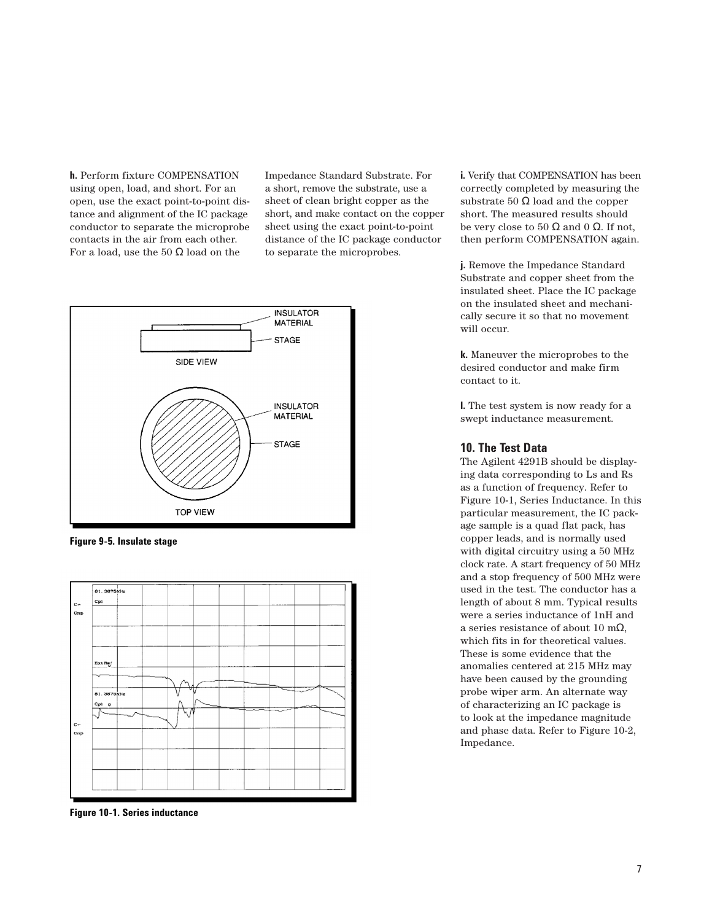**h.** Perform fixture COMPENSATION using open, load, and short. For an open, use the exact point-to-point distance and alignment of the IC package conductor to separate the microprobe contacts in the air from each other. For a load, use the 50  $\Omega$  load on the

Impedance Standard Substrate. For a short, remove the substrate, use a sheet of clean bright copper as the short, and make contact on the copper sheet using the exact point-to-point distance of the IC package conductor to separate the microprobes.



**Figure 9-5. Insulate stage**



**Figure 10-1. Series inductance**

**i.** Verify that COMPENSATION has been correctly completed by measuring the substrate  $50 \Omega$  load and the copper short. The measured results should be very close to 50  $\Omega$  and 0  $\Omega$ . If not, then perform COMPENSATION again.

**j.** Remove the Impedance Standard Substrate and copper sheet from the insulated sheet. Place the IC package on the insulated sheet and mechanically secure it so that no movement will occur.

**k.** Maneuver the microprobes to the desired conductor and make firm contact to it.

**l.** The test system is now ready for a swept inductance measurement.

#### **10. The Test Data**

The Agilent 4291B should be displaying data corresponding to Ls and Rs as a function of frequency. Refer to Figure 10-1, Series Inductance. In this particular measurement, the IC package sample is a quad flat pack, has copper leads, and is normally used with digital circuitry using a 50 MHz clock rate. A start frequency of 50 MHz and a stop frequency of 500 MHz were used in the test. The conductor has a length of about 8 mm. Typical results were a series inductance of 1nH and a series resistance of about 10 mΩ, which fits in for theoretical values. These is some evidence that the anomalies centered at 215 MHz may have been caused by the grounding probe wiper arm. An alternate way of characterizing an IC package is to look at the impedance magnitude and phase data. Refer to Figure 10-2, Impedance.